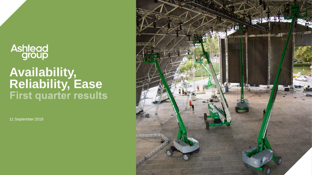## **Ashtead**<br>group

## **Availability, Reliability, Ease**

11 September 2018

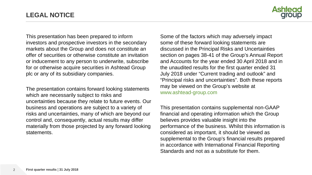

This presentation has been prepared to inform investors and prospective investors in the secondary markets about the Group and does not constitute an offer of securities or otherwise constitute an invitation or inducement to any person to underwrite, subscribe for or otherwise acquire securities in Ashtead Group plc or any of its subsidiary companies.

The presentation contains forward looking statements which are necessarily subject to risks and uncertainties because they relate to future events. Our business and operations are subject to a variety of risks and uncertainties, many of which are beyond our control and, consequently, actual results may differ materially from those projected by any forward looking statements.

Some of the factors which may adversely impact some of these forward looking statements are discussed in the Principal Risks and Uncertainties section on pages 38-41 of the Group's Annual Report and Accounts for the year ended 30 April 2018 and in the unaudited results for the first quarter ended 31 July 2018 under "Current trading and outlook" and "Principal risks and uncertainties". Both these reports may be viewed on the Group's website at www.ashtead-group.com

This presentation contains supplemental non-GAAP financial and operating information which the Group believes provides valuable insight into the performance of the business. Whilst this information is considered as important, it should be viewed as supplemental to the Group's financial results prepared in accordance with International Financial Reporting Standards and not as a substitute for them.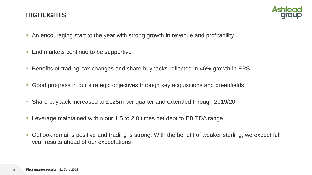

- An encouraging start to the year with strong growth in revenue and profitability
- End markets continue to be supportive
- Benefits of trading, tax changes and share buybacks reflected in 46% growth in EPS
- Good progress in our strategic objectives through key acquisitions and greenfields
- Share buyback increased to £125m per quarter and extended through 2019/20
- Leverage maintained within our 1.5 to 2.0 times net debt to EBITDA range
- Outlook remains positive and trading is strong. With the benefit of weaker sterling, we expect full year results ahead of our expectations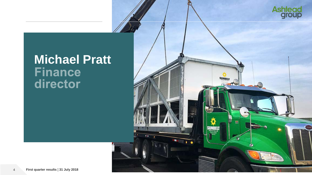

## **Michael Pratt** director

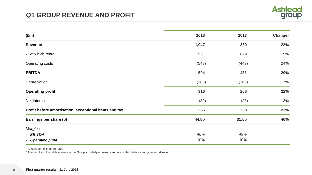

| $(\text{Em})$                                         | 2018  | 2017  | Change <sup>1</sup> |
|-------------------------------------------------------|-------|-------|---------------------|
| Revenue                                               | 1,047 | 880   | 22%                 |
| - of which rental                                     | 961   | 829   | 19%                 |
| <b>Operating costs</b>                                | (543) | (449) | 24%                 |
| <b>EBITDA</b>                                         | 504   | 431   | 20%                 |
| Depreciation                                          | (188) | (165) | 17%                 |
| <b>Operating profit</b>                               | 316   | 266   | 22%                 |
| Net interest                                          | (30)  | (28)  | 13%                 |
| Profit before amortisation, exceptional items and tax | 286   | 238   | 23%                 |
| Earnings per share (p)                                | 44.8p | 31.5p | 46%                 |
| <b>Margins</b>                                        |       |       |                     |
| - EBITDA                                              | 48%   | 49%   |                     |
| - Operating profit                                    | 30%   | 30%   |                     |

<sup>1</sup> At constant exchange rates

<sup>2</sup> The results in the table above are the Group's underlying results and are stated before intangible amortisation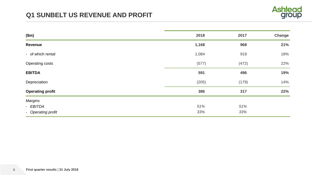

| \$m\$                   | 2018  | 2017  | Change |
|-------------------------|-------|-------|--------|
| Revenue                 | 1,168 | 968   | 21%    |
| - of which rental       | 1,084 | 919   | 18%    |
| <b>Operating costs</b>  | (577) | (472) | 22%    |
| <b>EBITDA</b>           | 591   | 496   | 19%    |
| Depreciation            | (205) | (179) | 14%    |
| <b>Operating profit</b> | 386   | 317   | 22%    |
| Margins                 |       |       |        |
| - EBITDA                | 51%   | 51%   |        |
| - Operating profit      | 33%   | 33%   |        |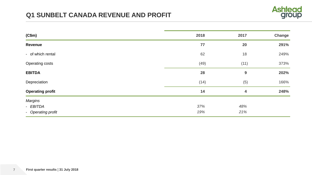#### **Q1 SUNBELT CANADA REVENUE AND PROFIT**



| (C\$m)                     | 2018 | 2017                    | Change |
|----------------------------|------|-------------------------|--------|
| Revenue                    | 77   | 20                      | 291%   |
| - of which rental          | 62   | 18                      | 249%   |
| <b>Operating costs</b>     | (49) | (11)                    | 373%   |
| <b>EBITDA</b>              | 28   | 9                       | 202%   |
| Depreciation               | (14) | (5)                     | 166%   |
| <b>Operating profit</b>    | 14   | $\overline{\mathbf{4}}$ | 248%   |
| <b>Margins</b><br>- EBITDA | 37%  | 48%                     |        |
| - Operating profit         | 19%  | 21%                     |        |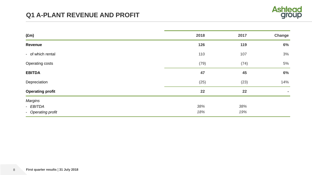

| $(\text{Em})$           | 2018 | 2017 | <b>Change</b> |
|-------------------------|------|------|---------------|
| Revenue                 | 126  | 119  | 6%            |
| - of which rental       | 110  | 107  | 3%            |
| Operating costs         | (79) | (74) | 5%            |
| <b>EBITDA</b>           | 47   | 45   | 6%            |
| Depreciation            | (25) | (23) | 14%           |
| <b>Operating profit</b> | 22   | 22   | $\sim$        |
| <b>Margins</b>          |      |      |               |
| - EBITDA                | 38%  | 38%  |               |
| - Operating profit      | 18%  | 19%  |               |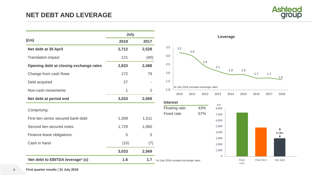#### **NET DEBT AND LEVERAGE**



|                                              | July  |                |                                                   |                               |                         |
|----------------------------------------------|-------|----------------|---------------------------------------------------|-------------------------------|-------------------------|
| $(\text{Em})$                                | 2018  | 2017           |                                                   |                               |                         |
| Net debt at 30 April                         | 2,712 | 2,528          | 3.5                                               | 3.2                           | 3.0                     |
| <b>Translation impact</b>                    | 121   | (40)           | 3.0                                               |                               |                         |
| Opening debt at closing exchange rates       | 2,833 | 2,488          | 2.5                                               |                               |                         |
| Change from cash flows                       | 172   | 79             | 2.0                                               |                               |                         |
| Debt acquired                                | 27    |                | 1.5                                               |                               |                         |
| Non-cash movements                           | 1     | $\overline{2}$ | 1.0                                               |                               | At July 2018 constant e |
| Net debt at period end                       | 3,033 | 2,569          |                                                   | 2010                          | 2011                    |
|                                              |       |                | <b>Interest</b>                                   |                               | $\overline{4}$          |
| Comprising:                                  |       |                |                                                   | Floating rate:<br>Fixed rate: | $5^{\circ}$             |
| First lien senior secured bank debt          | 1,309 | 1,511          |                                                   |                               |                         |
| Second lien secured notes                    | 1,729 | 1,060          |                                                   |                               |                         |
| Finance lease obligations                    | 5     | 5              |                                                   |                               |                         |
| Cash in hand                                 | (10)  | (7)            |                                                   |                               |                         |
|                                              | 3,033 | 2,569          |                                                   |                               |                         |
| Net debt to EBITDA leverage <sup>1</sup> (x) | 1.6   | 1.7            | <sup>1</sup> At July 2018 constant exchange rates |                               |                         |



Floating rate: 43% Fixed rate: 57% 8,000 £m

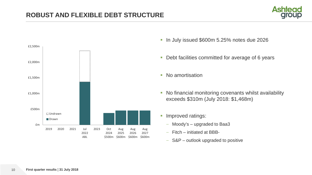



- In July issued \$600m 5.25% notes due 2026
- **-** Debt facilities committed for average of 6 years
- No amortisation
- No financial monitoring covenants whilst availability exceeds \$310m (July 2018: \$1,468m)
- **Improved ratings:** 
	- Moody's upgraded to Baa3
	- Fitch initiated at BBB-
	- S&P outlook upgraded to positive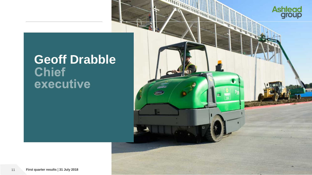

# **Geoff Drabble<br>Chief<br>executive**

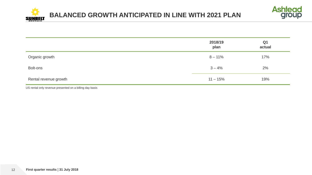



|                       | 2018/19<br>plan | Q <sub>1</sub><br>actual |
|-----------------------|-----------------|--------------------------|
| Organic growth        | $8 - 11\%$      | 17%                      |
| Bolt-ons              | $3 - 4%$        | 2%                       |
| Rental revenue growth | $11 - 15%$      | 19%                      |

US rental only revenue presented on a billing day basis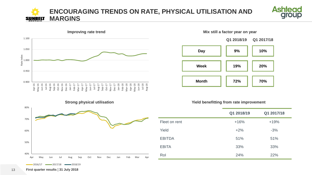#### **ENCOURAGING TRENDS ON RATE, PHYSICAL UTILISATION AND MARGINS** SUNBELT







#### **Yield benefitting from rate improvement**

|               | Q1 2018/19 | Q1 2017/18 |
|---------------|------------|------------|
| Fleet on rent | $+16%$     | $+19%$     |
| Yield         | $+2%$      | $-3%$      |
| <b>EBITDA</b> | 51%        | 51%        |
| <b>EBITA</b>  | 33%        | 33%        |
| Rol           | 24%        | 22%        |





 $-2016/17$   $-2017/18$   $-2018/19$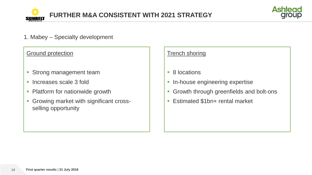



1. Mabey – Specialty development

#### **Ground protection**

- **Strong management team**
- **Increases scale 3 fold**
- Platform for nationwide growth
- **Growing market with significant cross**selling opportunity

#### **Trench shoring**

- 8 locations
- **In-house engineering expertise**
- **Growth through greenfields and bolt-ons**
- Estimated \$1bn+ rental market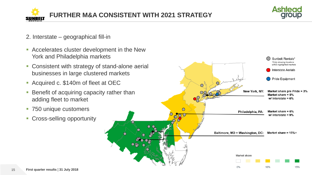



- 2. Interstate geographical fill-in
- Accelerates cluster development in the New York and Philadelphia markets
- **Consistent with strategy of stand-alone aerial** businesses in large clustered markets
- Acquired c. \$140m of fleet at OEC
- **Benefit of acquiring capacity rather than** adding fleet to market
- **750 unique customers**
- **Cross-selling opportunity**

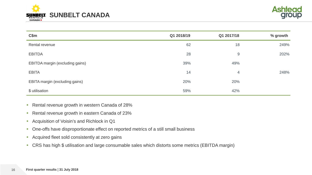



| C\$m                            | Q1 2018/19 | Q1 2017/18     | % growth |
|---------------------------------|------------|----------------|----------|
| Rental revenue                  | 62         | 18             | 249%     |
| <b>EBITDA</b>                   | 28         | $9$            | 202%     |
| EBITDA margin (excluding gains) | 39%        | 49%            |          |
| <b>EBITA</b>                    | 14         | $\overline{4}$ | 248%     |
| EBITA margin (excluding gains)  | 20%        | 20%            |          |
| \$ utilisation                  | 59%        | 42%            |          |

- Rental revenue growth in western Canada of 28%
- Rental revenue growth in eastern Canada of 23%
- **Acquisition of Voisin's and Richlock in Q1**
- **-** One-offs have disproportionate effect on reported metrics of a still small business
- **Acquired fleet sold consistently at zero gains**
- CRS has high \$ utilisation and large consumable sales which distorts some metrics (EBITDA margin)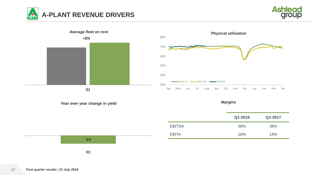







**Margins**

|               | Q1-2018 | Q1-2017 |
|---------------|---------|---------|
| <b>EBITDA</b> | 38%     | 38%     |
| <b>EBITA</b>  | 18%     | 19%     |

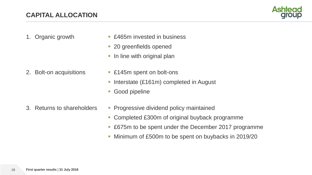

- 1. Organic growth **E465m** invested in business
	- **20 greenfields opened**
	- **If** In line with original plan
- 2. Bolt-on acquisitions **E145m** spent on bolt-ons
	- Interstate  $(E161m)$  completed in August
	- Good pipeline
- 
- 3. Returns to shareholders **Progressive dividend policy maintained** 
	- **Completed £300m of original buyback programme**
	- £675m to be spent under the December 2017 programme
	- Minimum of £500m to be spent on buybacks in 2019/20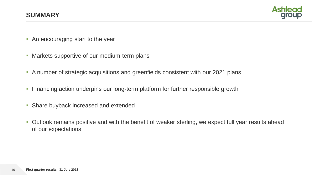

- **An encouraging start to the year**
- **Markets supportive of our medium-term plans**
- A number of strategic acquisitions and greenfields consistent with our 2021 plans
- **Financing action underpins our long-term platform for further responsible growth**
- **Share buyback increased and extended**
- **-** Outlook remains positive and with the benefit of weaker sterling, we expect full year results ahead of our expectations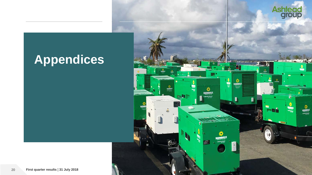

医细胞

assistant<br>applications

MBEL

 $\blacksquare$ 

**SUNBELT** 

試

- Na

### **Appendices**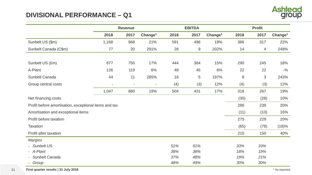#### **DIVISIONAL PERFORMANCE – Q1**



|                                                       | <b>Revenue</b>           |                          |                          |      | <b>EBITDA</b> |                     | <b>Profit</b> |                |                     |
|-------------------------------------------------------|--------------------------|--------------------------|--------------------------|------|---------------|---------------------|---------------|----------------|---------------------|
|                                                       | 2018                     | 2017                     | Change <sup>1</sup>      | 2018 | 2017          | Change <sup>1</sup> | 2018          | 2017           | Change <sup>1</sup> |
| Sunbelt US (\$m)                                      | 1,168                    | 968                      | 21%                      | 591  | 496           | 19%                 | 386           | 317            | 22%                 |
| Sunbelt Canada (C\$m)                                 | 77                       | 20                       | 291%                     | 28   | $9\,$         | 202%                | 14            | $\overline{4}$ | 248%                |
|                                                       |                          |                          |                          |      |               |                     |               |                |                     |
| Sunbelt US (£m)                                       | 877                      | 750                      | 17%                      | 444  | 384           | 15%                 | 290           | 245            | 18%                 |
| A-Plant                                               | 126                      | 119                      | 6%                       | 48   | 45            | 6%                  | 22            | 22             | $-$ %               |
| Sunbelt Canada                                        | 44                       | 11                       | 285%                     | 16   | 5             | 197%                | 8             | $\mathfrak 3$  | 243%                |
| Group central costs                                   | $\overline{\phantom{a}}$ | $\overline{\phantom{a}}$ | $\overline{\phantom{a}}$ | (4)  | (3)           | 12%                 | (4)           | (3)            | 12%                 |
|                                                       | 1,047                    | 880                      | 19%                      | 504  | 431           | 17%                 | 316           | 267            | 19%                 |
| Net financing costs                                   |                          |                          |                          |      |               |                     | (30)          | (28)           | 10%                 |
| Profit before amortisation, exceptional items and tax |                          |                          |                          |      |               |                     | 286           | 239            | 20%                 |
| Amortisation and exceptional items                    |                          |                          |                          |      |               |                     | (11)          | (10)           | 16%                 |
| Profit before taxation                                |                          |                          |                          |      |               |                     | 275           | 229            | 20%                 |
| <b>Taxation</b>                                       |                          |                          |                          |      |               |                     | (65)          | (79)           | (18)%               |
| Profit after taxation                                 |                          |                          |                          |      |               |                     | 210           | 150            | 40%                 |
| <b>Margins</b>                                        |                          |                          |                          |      |               |                     |               |                |                     |
| - Sunbelt US                                          |                          |                          |                          | 51%  | 51%           |                     | 33%           | 33%            |                     |
| - A-Plant                                             |                          |                          |                          | 38%  | 38%           |                     | 18%           | 19%            |                     |
| - Sunbelt Canada                                      |                          |                          |                          | 37%  | 48%           |                     | 19%           | 21%            |                     |
| - Group                                               |                          |                          |                          | 48%  | 49%           |                     | 30%           | 30%            |                     |

21 **First quarter results | 31 July 2018** 1 As reported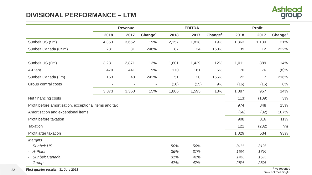#### **DIVISIONAL PERFORMANCE – LTM**



|                                                       | <b>Revenue</b>           |                          |                          |       | <b>EBITDA</b> |                     | <b>Profit</b> |                |                     |
|-------------------------------------------------------|--------------------------|--------------------------|--------------------------|-------|---------------|---------------------|---------------|----------------|---------------------|
|                                                       | 2018                     | 2017                     | Change <sup>1</sup>      | 2018  | 2017          | Change <sup>1</sup> | 2018          | 2017           | Change <sup>1</sup> |
| Sunbelt US (\$m)                                      | 4,353                    | 3,652                    | 19%                      | 2,157 | 1,818         | 19%                 | 1,363         | 1,130          | 21%                 |
| Sunbelt Canada (C\$m)                                 | 281                      | 81                       | 248%                     | 87    | 34            | 160%                | 39            | 12             | 222%                |
|                                                       |                          |                          |                          |       |               |                     |               |                |                     |
| Sunbelt US (£m)                                       | 3,231                    | 2,871                    | 13%                      | 1,601 | 1,429         | 12%                 | 1,011         | 889            | 14%                 |
| A-Plant                                               | 479                      | 441                      | 9%                       | 170   | 161           | 6%                  | 70            | 76             | (8)%                |
| Sunbelt Canada (£m)                                   | 163                      | 48                       | 242%                     | 51    | 20            | 155%                | 22            | $\overline{7}$ | 216%                |
| Group central costs                                   | $\overline{\phantom{a}}$ | $\overline{\phantom{a}}$ | $\overline{\phantom{a}}$ | (16)  | (15)          | $9\%$               | (16)          | (15)           | 8%                  |
|                                                       | 3,873                    | 3,360                    | 15%                      | 1,806 | 1,595         | 13%                 | 1,087         | 957            | 14%                 |
| Net financing costs                                   |                          |                          |                          |       |               |                     | (113)         | (109)          | 3%                  |
| Profit before amortisation, exceptional items and tax |                          |                          |                          |       |               |                     | 974           | 848            | 15%                 |
| Amortisation and exceptional items                    |                          |                          |                          |       |               |                     | (66)          | (32)           | 107%                |
| Profit before taxation                                |                          |                          |                          |       |               |                     | 908           | 816            | 11%                 |
| Taxation                                              |                          |                          |                          |       |               |                     | 121           | (282)          | nm                  |
| Profit after taxation                                 |                          |                          |                          |       |               |                     | 1,029         | 534            | 93%                 |
| <b>Margins</b>                                        |                          |                          |                          |       |               |                     |               |                |                     |
| - Sunbelt US                                          |                          |                          |                          | 50%   | 50%           |                     | 31%           | 31%            |                     |
| - A-Plant                                             |                          |                          |                          | 36%   | 37%           |                     | 15%           | 17%            |                     |
| - Sunbelt Canada                                      |                          |                          |                          | 31%   | 42%           |                     | 14%           | 15%            |                     |
| Group                                                 |                          |                          |                          | 47%   | 47%           |                     | 28%           | 28%            |                     |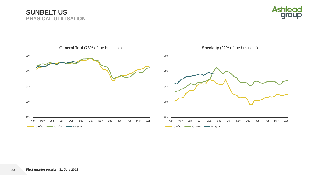

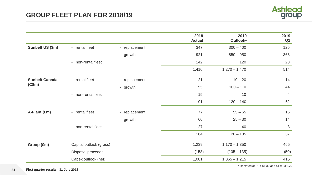

|                                         |                         |               | 2018<br><b>Actual</b> | 2019<br>Outlook <sup>1</sup> | 2019<br>Q <sub>1</sub> |
|-----------------------------------------|-------------------------|---------------|-----------------------|------------------------------|------------------------|
| Sunbelt US (\$m)                        | - rental fleet          | - replacement | 347                   | $300 - 400$                  | 125                    |
|                                         |                         | - growth      | 921                   | $850 - 950$                  | 366                    |
|                                         | - non-rental fleet      |               | 142                   | 120                          | 23                     |
|                                         |                         |               | 1,410                 | $1,270 - 1,470$              | 514                    |
| - rental fleet<br><b>Sunbelt Canada</b> | - replacement           | 21            | $10 - 20$             | 14                           |                        |
| (C\$m)                                  |                         | - growth      | 55                    | $100 - 110$                  | 44                     |
| - non-rental fleet                      |                         | 15            | 10                    | $\overline{4}$               |                        |
|                                         |                         |               | 91                    | $120 - 140$                  | 62                     |
| A-Plant (£m)                            | - rental fleet          | - replacement | 77                    | $55 - 65$                    | 15                     |
|                                         |                         | - growth      | 60                    | $25 - 30$                    | 14                     |
|                                         | - non-rental fleet      |               | 27                    | 40                           | $\delta$               |
|                                         |                         |               | 164                   | $120 - 135$                  | 37                     |
| Group (£m)                              | Capital outlook (gross) |               | 1,239                 | $1,170 - 1,350$              | 465                    |
|                                         | Disposal proceeds       |               | (158)                 | $(105 - 135)$                | (50)                   |
|                                         | Capex outlook (net)     |               | 1,081                 | $1,065 - 1,215$              | 415                    |

<sup>1</sup> Restated at £1 =  $$1.30$  and £1 = C\$1.70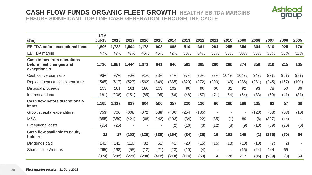#### **CASH FLOW FUNDS ORGANIC FLEET GROWTH HEALTHY EBITDA MARGINS ENSURE SIGNIFICANT TOP LINE CASH GENERATION THROUGH THE CYCLE**



|                                                                                | <b>LTM</b>    |       |       |       |       |       |       |       |                          |        |       |       |       |       |       |
|--------------------------------------------------------------------------------|---------------|-------|-------|-------|-------|-------|-------|-------|--------------------------|--------|-------|-------|-------|-------|-------|
| $(\text{Em})$                                                                  | <b>Jul-18</b> | 2018  | 2017  | 2016  | 2015  | 2014  | 2013  | 2012  | 2011                     | 2010   | 2009  | 2008  | 2007  | 2006  | 2005  |
| <b>EBITDA before exceptional items</b>                                         | 1,806         | 1,733 | 1,504 | 1,178 | 908   | 685   | 519   | 381   | 284                      | 255    | 356   | 364   | 310   | 225   | 170   |
| <b>EBITDA</b> margin                                                           | 47%           | 47%   | 47%   | 46%   | 45%   | 42%   | 38%   | 34%   | 30%                      | 30%    | 30%   | 33%   | 35%   | 35%   | 32%   |
| <b>Cash inflow from operations</b><br>before fleet changes and<br>exceptionals | 1,736         | 1,681 | 1,444 | 1,071 | 841   | 646   | 501   | 365   | 280                      | 266    | 374   | 356   | 319   | 215   | 165   |
| Cash conversion ratio                                                          | 96%           | 97%   | 96%   | 91%   | 93%   | 94%   | 97%   | 96%   | 99%                      | 104%   | 104%  | 94%   | 97%   | 96%   | 97%   |
| Replacement capital expenditure                                                | (545)         | (517) | (527) | (562) | (349) | (335) | (329) | (272) | (203)                    | (43)   | (236) | (231) | (245) | (167) | (101) |
| Disposal proceeds                                                              | 155           | 161   | 161   | 180   | 103   | 102   | 96    | 90    | 60                       | 31     | 92    | 93    | 78    | 50    | 36    |
| Interest and tax                                                               | (181)         | (208) | (151) | (85)  | (95)  | (56)  | (48)  | (57)  | (71)                     | (54)   | (64)  | (83)  | (69)  | (41)  | (31)  |
| <b>Cash flow before discretionary</b><br>items                                 | 1,165         | 1,117 | 927   | 604   | 500   | 357   | 220   | 126   | 66                       | 200    | 166   | 135   | 83    | 57    | 69    |
| Growth capital expenditure                                                     | (753)         | (706) | (608) | (672) | (588) | (406) | (254) | (135) |                          |        |       | (120) | (63)  | (63)  | (10)  |
| M&A                                                                            | (355)         | (359) | (421) | (68)  | (242) | (103) | (34)  | (22)  | (35)                     | (1)    | 89    | (6)   | (327) | (44)  |       |
| <b>Exceptional costs</b>                                                       | (25)          | (25)  |       |       |       | (2)   | (16)  | (3)   | (12)                     | (8)    | (9)   | (10)  | (69)  | (20)  | (6)   |
| Cash flow available to equity<br>holders                                       | 32            | 27    | (102) | (136) | (330) | (154) | (84)  | (35)  | 19                       | 191    | 246   | (1)   | (376) | (70)  | 54    |
| Dividends paid                                                                 | (141)         | (141) | (116) | (82)  | (61)  | (41)  | (20)  | (15)  | (15)                     | (13)   | (13)  | (10)  | (7)   | (2)   |       |
| Share issues/returns                                                           | (265)         | (168) | (55)  | (12)  | (21)  | (23)  | (10)  | (4)   | $\overline{\phantom{a}}$ | $\sim$ | (16)  | (24)  | 144   | 69    |       |
|                                                                                | (374)         | (282) | (273) | (230) | (412) | (218) | (114) | (53)  | 4                        | 178    | 217   | (35)  | (239) | (3)   | 54    |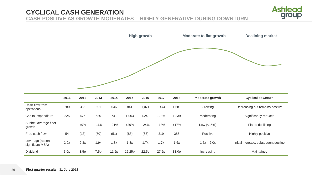#### **CYCLICAL CASH GENERATION CASH POSITIVE AS GROWTH MODERATES – HIGHLY GENERATIVE DURING DOWNTURN**



|                              |      |      |      |      |       | <b>High growth</b> |       |       | <b>Moderate to flat growth</b> | <b>Declining market</b>         |
|------------------------------|------|------|------|------|-------|--------------------|-------|-------|--------------------------------|---------------------------------|
|                              |      |      |      |      |       |                    |       |       |                                |                                 |
|                              | 2011 | 2012 | 2013 | 2014 | 2015  | 2016               | 2017  | 2018  | Moderate growth                | <b>Cyclical downturn</b>        |
| Cash flow from<br>operations | 280  | 365  | 501  | 646  | 841   | 1,071              | 1,444 | 1,681 | Growing                        | Decreasing but remains positive |
| Capital expenditure          | 225  | 476  | 580  | 741  | 1,063 | 1,240              | 1,086 | 1,239 | Moderating                     | Significantly reduced           |

| Capital expenditure                  | 225              | 476   | 580    | 741    | ,063   | ,240   | 1,086  | ,239   | Moderating    | Significantly reduced                |
|--------------------------------------|------------------|-------|--------|--------|--------|--------|--------|--------|---------------|--------------------------------------|
| Sunbelt average fleet<br>growth      |                  | $+9%$ | $+16%$ | $+21%$ | $+29%$ | $+24%$ | $+18%$ | $+17%$ | Low $(<15\%)$ | Flat to declining                    |
| Free cash flow                       | 54               | (13)  | (50)   | (51)   | (88)   | (68)   | 319    | 386    | Positive      | <b>Highly positive</b>               |
| Leverage (absent<br>significant M&A) | 2.9x             | 2.3x  | .9x    | 1.8x   | .8x    | 1.7x   | 1.7x   | 1.6x   | $1.5x - 2.0x$ | Initial increase, subsequent decline |
| <b>Dividend</b>                      | 3.0 <sub>p</sub> | 3.5p  | .5p    | 11.5p  | 15.25p | 22.5p  | 27.5p  | 33.0p  | Increasing    | Maintained                           |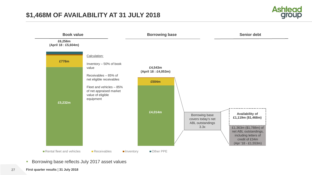



- **Borrowing base reflects July 2017 asset values**
- **First quarter results ¦ 31 July 2018**
- 27